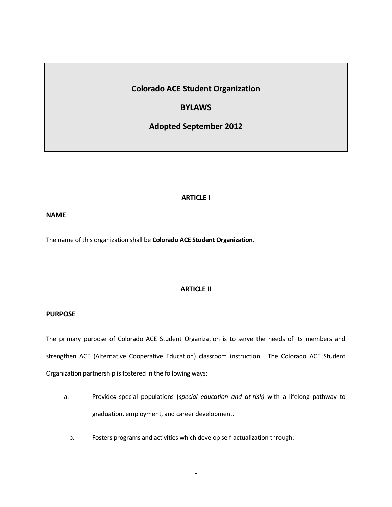# **Colorado ACE Student Organization**

## **BYLAWS**

**Adopted September 2012**

## **ARTICLE I**

## **NAME**

The name of this organization shall be **Colorado ACE Student Organization.**

## **ARTICLE II**

## **PURPOSE**

The primary purpose of Colorado ACE Student Organization is to serve the needs of its members and strengthen ACE (Alternative Cooperative Education) classroom instruction. The Colorado ACE Student Organization partnership is fostered in the following ways:

- a. Provides special populations (*special education and at-risk)* with a lifelong pathway to graduation, employment, and career development.
	- b. Fosters programs and activities which develop self-actualization through: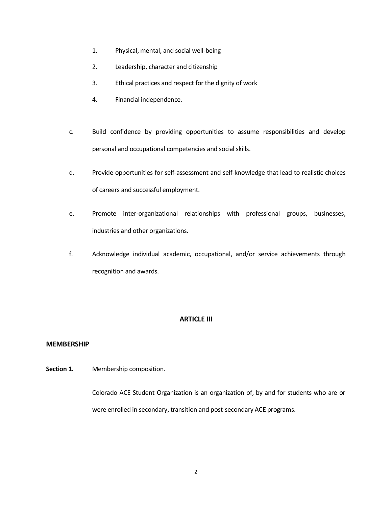- 1. Physical, mental, and social well-being
- 2. Leadership, character and citizenship
- 3. Ethical practices and respect for the dignity of work
- 4. Financial independence.
- c. Build confidence by providing opportunities to assume responsibilities and develop personal and occupational competencies and social skills.
- d. Provide opportunities for self-assessment and self-knowledge that lead to realistic choices of careers and successful employment.
- e. Promote inter-organizational relationships with professional groups, businesses, industries and other organizations.
- f. Acknowledge individual academic, occupational, and/or service achievements through recognition and awards.

## **ARTICLE III**

#### **MEMBERSHIP**

**Section 1.** Membership composition.

Colorado ACE Student Organization is an organization of, by and for students who are or were enrolled in secondary, transition and post-secondary ACE programs.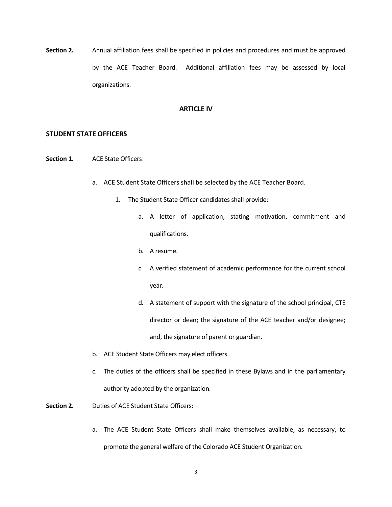**Section 2.** Annual affiliation fees shall be specified in policies and procedures and must be approved by the ACE Teacher Board. Additional affiliation fees may be assessed by local organizations.

## **ARTICLE IV**

#### **STUDENT STATE OFFICERS**

- **Section 1.** ACE State Officers:
	- a. ACE Student State Officers shall be selected by the ACE Teacher Board.
		- 1. The Student State Officer candidates shall provide:
			- a. A letter of application, stating motivation, commitment and qualifications.
			- b. A resume.
			- c. A verified statement of academic performance for the current school year.
			- d. A statement of support with the signature of the school principal, CTE director or dean; the signature of the ACE teacher and/or designee; and, the signature of parent or guardian.
	- b. ACE Student State Officers may elect officers.
	- c. The duties of the officers shall be specified in these Bylaws and in the parliamentary authority adopted by the organization.
- **Section 2.** Duties of ACE Student State Officers:
	- a. The ACE Student State Officers shall make themselves available, as necessary, to promote the general welfare of the Colorado ACE Student Organization.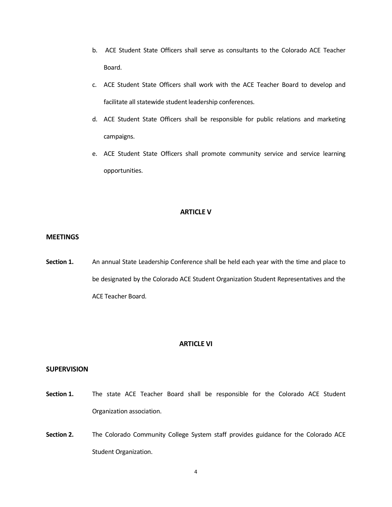- b. ACE Student State Officers shall serve as consultants to the Colorado ACE Teacher Board.
- c. ACE Student State Officers shall work with the ACE Teacher Board to develop and facilitate all statewide student leadership conferences.
- d. ACE Student State Officers shall be responsible for public relations and marketing campaigns.
- e. ACE Student State Officers shall promote community service and service learning opportunities.

## **ARTICLE V**

## **MEETINGS**

**Section 1.** An annual State Leadership Conference shall be held each year with the time and place to be designated by the Colorado ACE Student Organization Student Representatives and the ACE Teacher Board.

#### **ARTICLE VI**

## **SUPERVISION**

- Section 1. The state ACE Teacher Board shall be responsible for the Colorado ACE Student Organization association.
- **Section 2.** The Colorado Community College System staff provides guidance for the Colorado ACE Student Organization.